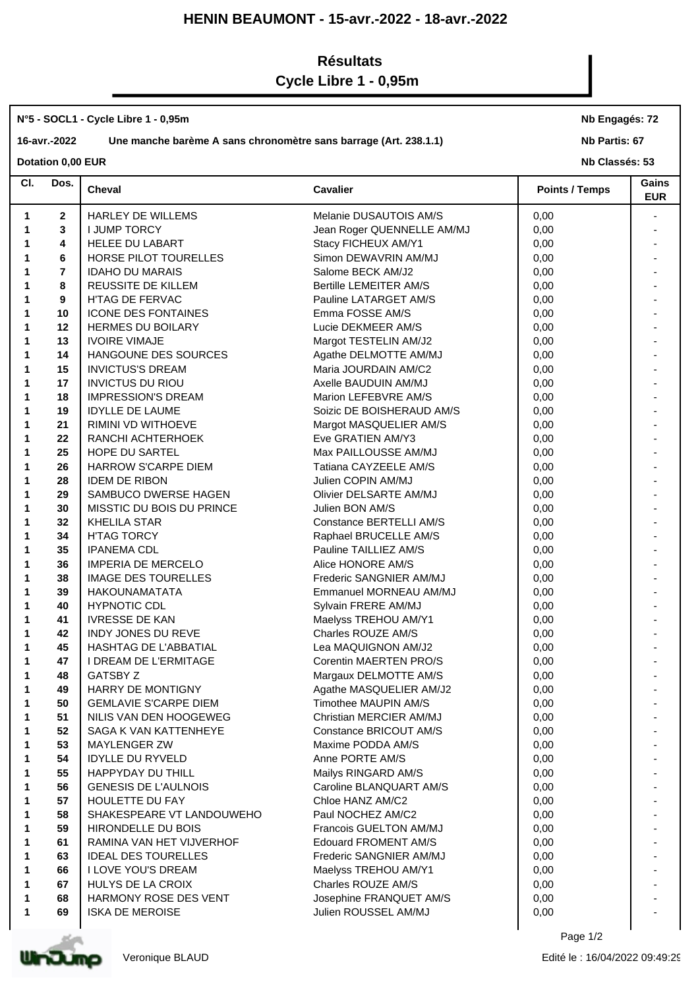## **HENIN BEAUMONT - 15-avr.-2022 - 18-avr.-2022**

## **Résultats**

# **Cycle Libre 1 - 0,95m**

#### **N°5 - SOCL1 - Cycle Libre 1 - 0,95m**

### **16-avr.-2022 Une manche barème A sans chronomètre sans barrage (Art. 238.1.1)**

**Nb Engagés: 72**

#### **Nb Partis: 67**

**Dotation 0,00 EUR** 

| CI. | Dos.           | Cheval                       | <b>Cavalier</b>               | <b>Points / Temps</b> | Gains<br><b>EUR</b> |
|-----|----------------|------------------------------|-------------------------------|-----------------------|---------------------|
| 1   | $\mathbf{2}$   | HARLEY DE WILLEMS            | Melanie DUSAUTOIS AM/S        | 0,00                  |                     |
| 1   | 3              | <b>I JUMP TORCY</b>          | Jean Roger QUENNELLE AM/MJ    | 0,00                  |                     |
|     | 4              | <b>HELEE DU LABART</b>       | Stacy FICHEUX AM/Y1           | 0,00                  |                     |
|     | 6              | HORSE PILOT TOURELLES        | Simon DEWAVRIN AM/MJ          | 0,00                  |                     |
|     | $\overline{7}$ | <b>IDAHO DU MARAIS</b>       | Salome BECK AM/J2             | 0,00                  |                     |
|     | 8              | REUSSITE DE KILLEM           | <b>Bertille LEMEITER AM/S</b> | 0,00                  |                     |
|     | 9              | H'TAG DE FERVAC              | Pauline LATARGET AM/S         | 0,00                  |                     |
|     | 10             | <b>ICONE DES FONTAINES</b>   | Emma FOSSE AM/S               | 0,00                  |                     |
|     | 12             | <b>HERMES DU BOILARY</b>     | Lucie DEKMEER AM/S            | 0,00                  |                     |
|     | 13             | <b>IVOIRE VIMAJE</b>         | Margot TESTELIN AM/J2         | 0,00                  |                     |
|     | 14             | HANGOUNE DES SOURCES         | Agathe DELMOTTE AM/MJ         | 0,00                  |                     |
|     | 15             | <b>INVICTUS'S DREAM</b>      | Maria JOURDAIN AM/C2          | 0,00                  |                     |
|     | 17             | <b>INVICTUS DU RIOU</b>      | Axelle BAUDUIN AM/MJ          | 0,00                  |                     |
|     | 18             | <b>IMPRESSION'S DREAM</b>    | Marion LEFEBVRE AM/S          | 0,00                  |                     |
|     | 19             | <b>IDYLLE DE LAUME</b>       | Soizic DE BOISHERAUD AM/S     | 0,00                  |                     |
|     | 21             | RIMINI VD WITHOEVE           | Margot MASQUELIER AM/S        | 0,00                  |                     |
|     | 22             | RANCHI ACHTERHOEK            | Eve GRATIEN AM/Y3             | 0,00                  |                     |
|     | 25             | HOPE DU SARTEL               | Max PAILLOUSSE AM/MJ          | 0,00                  |                     |
|     |                |                              |                               |                       |                     |
|     | 26             | HARROW S'CARPE DIEM          | Tatiana CAYZEELE AM/S         | 0,00                  |                     |
|     | 28             | <b>IDEM DE RIBON</b>         | Julien COPIN AM/MJ            | 0,00                  |                     |
|     | 29             | SAMBUCO DWERSE HAGEN         | Olivier DELSARTE AM/MJ        | 0,00                  |                     |
|     | 30             | MISSTIC DU BOIS DU PRINCE    | Julien BON AM/S               | 0,00                  |                     |
|     | 32             | <b>KHELILA STAR</b>          | Constance BERTELLI AM/S       | 0,00                  |                     |
|     | 34             | <b>H'TAG TORCY</b>           | Raphael BRUCELLE AM/S         | 0,00                  |                     |
|     | 35             | <b>IPANEMA CDL</b>           | Pauline TAILLIEZ AM/S         | 0,00                  |                     |
|     | 36             | <b>IMPERIA DE MERCELO</b>    | Alice HONORE AM/S             | 0,00                  |                     |
|     | 38             | <b>IMAGE DES TOURELLES</b>   | Frederic SANGNIER AM/MJ       | 0,00                  |                     |
|     | 39             | <b>HAKOUNAMATATA</b>         | Emmanuel MORNEAU AM/MJ        | 0,00                  |                     |
|     | 40             | <b>HYPNOTIC CDL</b>          | Sylvain FRERE AM/MJ           | 0,00                  |                     |
|     | 41             | <b>IVRESSE DE KAN</b>        | Maelyss TREHOU AM/Y1          | 0,00                  |                     |
|     | 42             | INDY JONES DU REVE           | Charles ROUZE AM/S            | 0,00                  |                     |
|     | 45             | HASHTAG DE L'ABBATIAL        | Lea MAQUIGNON AM/J2           | 0,00                  |                     |
|     | 47             | I DREAM DE L'ERMITAGE        | Corentin MAERTEN PRO/S        | 0,00                  |                     |
|     | 48             | <b>GATSBY Z</b>              | Margaux DELMOTTE AM/S         | 0,00                  |                     |
|     | 49             | HARRY DE MONTIGNY            | Agathe MASQUELIER AM/J2       | 0,00                  |                     |
|     | 50             | <b>GEMLAVIE S'CARPE DIEM</b> | Timothee MAUPIN AM/S          | 0,00                  |                     |
|     | 51             | NILIS VAN DEN HOOGEWEG       | Christian MERCIER AM/MJ       | 0,00                  |                     |
|     | 52             | SAGA K VAN KATTENHEYE        | Constance BRICOUT AM/S        | 0,00                  |                     |
|     | 53             | <b>MAYLENGER ZW</b>          | Maxime PODDA AM/S             | 0,00                  |                     |
|     | 54             | <b>IDYLLE DU RYVELD</b>      | Anne PORTE AM/S               | 0,00                  |                     |
|     | 55             | HAPPYDAY DU THILL            | Mailys RINGARD AM/S           | 0,00                  |                     |
|     | 56             | <b>GENESIS DE L'AULNOIS</b>  | Caroline BLANQUART AM/S       | 0,00                  |                     |
|     | 57             | <b>HOULETTE DU FAY</b>       | Chloe HANZ AM/C2              | 0,00                  |                     |
|     | 58             | SHAKESPEARE VT LANDOUWEHO    | Paul NOCHEZ AM/C2             | 0,00                  |                     |
|     | 59             | HIRONDELLE DU BOIS           | Francois GUELTON AM/MJ        | 0,00                  |                     |
|     | 61             | RAMINA VAN HET VIJVERHOF     | <b>Edouard FROMENT AM/S</b>   | 0,00                  |                     |
|     | 63             | <b>IDEAL DES TOURELLES</b>   | Frederic SANGNIER AM/MJ       | 0,00                  |                     |
|     | 66             | <b>I LOVE YOU'S DREAM</b>    | Maelyss TREHOU AM/Y1          | 0,00                  |                     |
|     | 67             | HULYS DE LA CROIX            | Charles ROUZE AM/S            | 0,00                  |                     |
|     | 68             | HARMONY ROSE DES VENT        | Josephine FRANQUET AM/S       | 0,00                  |                     |
|     |                | <b>ISKA DE MEROISE</b>       | Julien ROUSSEL AM/MJ          | 0,00                  |                     |